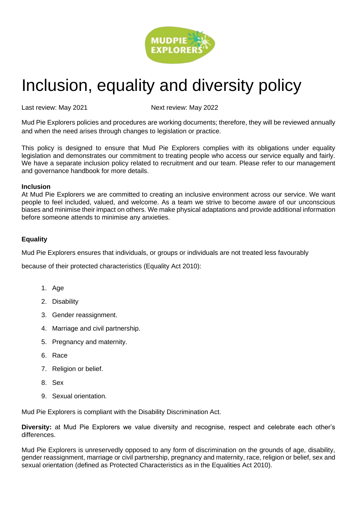

# Inclusion, equality and diversity policy

Last review: May 2021 and Mext review: May 2022

Mud Pie Explorers policies and procedures are working documents; therefore, they will be reviewed annually and when the need arises through changes to legislation or practice.

This policy is designed to ensure that Mud Pie Explorers complies with its obligations under equality legislation and demonstrates our commitment to treating people who access our service equally and fairly. We have a separate inclusion policy related to recruitment and our team. Please refer to our management and governance handbook for more details.

## **Inclusion**

At Mud Pie Explorers we are committed to creating an inclusive environment across our service. We want people to feel included, valued, and welcome. As a team we strive to become aware of our unconscious biases and minimise their impact on others. We make physical adaptations and provide additional information before someone attends to minimise any anxieties.

# **Equality**

Mud Pie Explorers ensures that individuals, or groups or individuals are not treated less favourably

because of their protected characteristics (Equality Act 2010):

- 1. Age
- 2. Disability
- 3. Gender reassignment.
- 4. Marriage and civil partnership.
- 5. Pregnancy and maternity.
- 6. Race
- 7. Religion or belief.
- 8. Sex
- 9. Sexual orientation.

Mud Pie Explorers is compliant with the Disability Discrimination Act.

**Diversity:** at Mud Pie Explorers we value diversity and recognise, respect and celebrate each other's differences.

Mud Pie Explorers is unreservedly opposed to any form of discrimination on the grounds of age, disability, gender reassignment, marriage or civil partnership, pregnancy and maternity, race, religion or belief, sex and sexual orientation (defined as Protected Characteristics as in the Equalities Act 2010).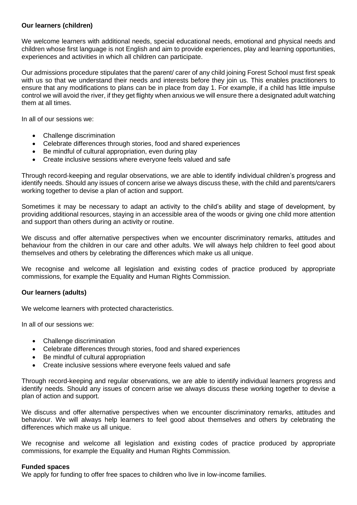## **Our learners (children)**

We welcome learners with additional needs, special educational needs, emotional and physical needs and children whose first language is not English and aim to provide experiences, play and learning opportunities, experiences and activities in which all children can participate.

Our admissions procedure stipulates that the parent/ carer of any child joining Forest School must first speak with us so that we understand their needs and interests before they join us. This enables practitioners to ensure that any modifications to plans can be in place from day 1. For example, if a child has little impulse control we will avoid the river, if they get flighty when anxious we will ensure there a designated adult watching them at all times.

In all of our sessions we:

- Challenge discrimination
- Celebrate differences through stories, food and shared experiences
- Be mindful of cultural appropriation, even during play
- Create inclusive sessions where everyone feels valued and safe

Through record-keeping and regular observations, we are able to identify individual children's progress and identify needs. Should any issues of concern arise we always discuss these, with the child and parents/carers working together to devise a plan of action and support.

Sometimes it may be necessary to adapt an activity to the child's ability and stage of development, by providing additional resources, staying in an accessible area of the woods or giving one child more attention and support than others during an activity or routine.

We discuss and offer alternative perspectives when we encounter discriminatory remarks, attitudes and behaviour from the children in our care and other adults. We will always help children to feel good about themselves and others by celebrating the differences which make us all unique.

We recognise and welcome all legislation and existing codes of practice produced by appropriate commissions, for example the Equality and Human Rights Commission.

## **Our learners (adults)**

We welcome learners with protected characteristics.

In all of our sessions we:

- Challenge discrimination
- Celebrate differences through stories, food and shared experiences
- Be mindful of cultural appropriation
- Create inclusive sessions where everyone feels valued and safe

Through record-keeping and regular observations, we are able to identify individual learners progress and identify needs. Should any issues of concern arise we always discuss these working together to devise a plan of action and support.

We discuss and offer alternative perspectives when we encounter discriminatory remarks, attitudes and behaviour. We will always help learners to feel good about themselves and others by celebrating the differences which make us all unique.

We recognise and welcome all legislation and existing codes of practice produced by appropriate commissions, for example the Equality and Human Rights Commission.

#### **Funded spaces**

We apply for funding to offer free spaces to children who live in low-income families.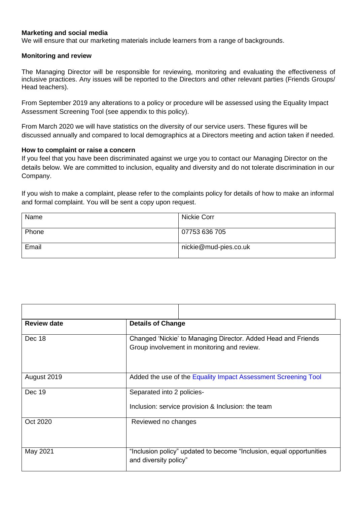## **Marketing and social media**

We will ensure that our marketing materials include learners from a range of backgrounds.

#### **Monitoring and review**

The Managing Director will be responsible for reviewing, monitoring and evaluating the effectiveness of inclusive practices. Any issues will be reported to the Directors and other relevant parties (Friends Groups/ Head teachers).

From September 2019 any alterations to a policy or procedure will be assessed using the Equality Impact Assessment Screening Tool (see appendix to this policy).

From March 2020 we will have statistics on the diversity of our service users. These figures will be discussed annually and compared to local demographics at a Directors meeting and action taken if needed.

## **How to complaint or raise a concern**

If you feel that you have been discriminated against we urge you to contact our Managing Director on the details below. We are committed to inclusion, equality and diversity and do not tolerate discrimination in our Company.

If you wish to make a complaint, please refer to the complaints policy for details of how to make an informal and formal complaint. You will be sent a copy upon request.

| Name  | Nickie Corr           |
|-------|-----------------------|
| Phone | 07753 636 705         |
| Email | nickie@mud-pies.co.uk |

| <b>Review date</b> | <b>Details of Change</b>                                                                                     |  |  |
|--------------------|--------------------------------------------------------------------------------------------------------------|--|--|
| Dec 18             | Changed 'Nickie' to Managing Director. Added Head and Friends<br>Group involvement in monitoring and review. |  |  |
| August 2019        | Added the use of the Equality Impact Assessment Screening Tool                                               |  |  |
| Dec 19             | Separated into 2 policies-<br>Inclusion: service provision & Inclusion: the team                             |  |  |
| Oct 2020           | Reviewed no changes                                                                                          |  |  |
| May 2021           | "Inclusion policy" updated to become "Inclusion, equal opportunities<br>and diversity policy"                |  |  |